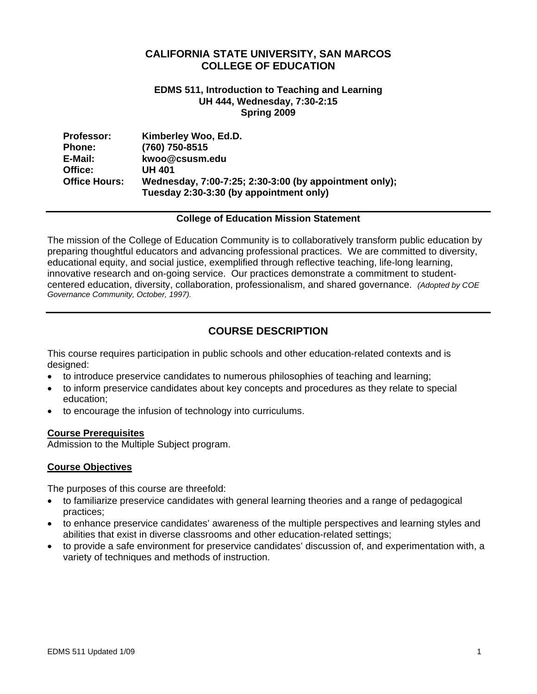## **CALIFORNIA STATE UNIVERSITY, SAN MARCOS COLLEGE OF EDUCATION**

#### **EDMS 511, Introduction to Teaching and Learning UH 444, Wednesday, 7:30-2:15 Spring 2009**

| <b>Professor:</b>    | Kimberley Woo, Ed.D.                                   |
|----------------------|--------------------------------------------------------|
| <b>Phone:</b>        | (760) 750-8515                                         |
| E-Mail:              | kwoo@csusm.edu                                         |
| Office:              | <b>UH 401</b>                                          |
| <b>Office Hours:</b> | Wednesday, 7:00-7:25; 2:30-3:00 (by appointment only); |
|                      | Tuesday 2:30-3:30 (by appointment only)                |

#### **College of Education Mission Statement**

The mission of the College of Education Community is to collaboratively transform public education by preparing thoughtful educators and advancing professional practices. We are committed to diversity, educational equity, and social justice, exemplified through reflective teaching, life-long learning, innovative research and on-going service. Our practices demonstrate a commitment to studentcentered education, diversity, collaboration, professionalism, and shared governance. *(Adopted by COE Governance Community, October, 1997).* 

## **COURSE DESCRIPTION**

This course requires participation in public schools and other education-related contexts and is designed:

- to introduce preservice candidates to numerous philosophies of teaching and learning;
- to inform preservice candidates about key concepts and procedures as they relate to special education;
- to encourage the infusion of technology into curriculums.

### **Course Prerequisites**

Admission to the Multiple Subject program.

#### **Course Objectives**

The purposes of this course are threefold:

- to familiarize preservice candidates with general learning theories and a range of pedagogical practices;
- to enhance preservice candidates' awareness of the multiple perspectives and learning styles and abilities that exist in diverse classrooms and other education-related settings;
- to provide a safe environment for preservice candidates' discussion of, and experimentation with, a variety of techniques and methods of instruction.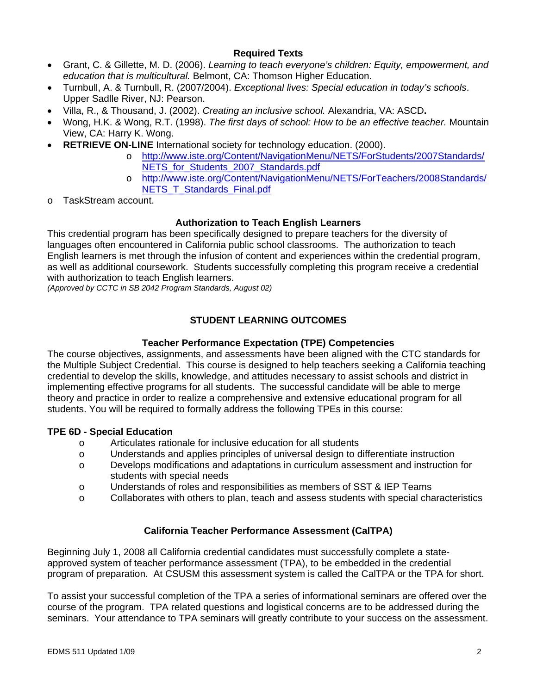## **Required Texts**

- • Grant, C. & Gillette, M. D. (2006). *Learning to teach everyone's children: Equity, empowerment, and education that is multicultural.* Belmont, CA: Thomson Higher Education.
- • Turnbull, A. & Turnbull, R. (2007/2004). *Exceptional lives: Special education in today's schools*. Upper Sadlle River, NJ: Pearson.
- • Villa, R., & Thousand, J. (2002). *Creating an inclusive school.* Alexandria, VA: ASCD**.**
- • Wong, H.K. & Wong, R.T. (1998). *The first days of school: How to be an effective teacher.* Mountain View, CA: Harry K. Wong.
- **RETRIEVE ON-LINE** International society for technology education. (2000).
	- o http://www.iste.org/Content/NavigationMenu/NETS/ForStudents/2007Standards/ NETS\_for\_Students\_2007\_Standards.pdf
	- o http://www.iste.org/Content/NavigationMenu/NETS/ForTeachers/2008Standards/ NETS T\_Standards\_Final.pdf
- TaskStream account.

## **Authorization to Teach English Learners**

This credential program has been specifically designed to prepare teachers for the diversity of languages often encountered in California public school classrooms. The authorization to teach English learners is met through the infusion of content and experiences within the credential program, as well as additional coursework. Students successfully completing this program receive a credential with authorization to teach English learners.

*(Approved by CCTC in SB 2042 Program Standards, August 02)* 

## **STUDENT LEARNING OUTCOMES**

## **Teacher Performance Expectation (TPE) Competencies**

The course objectives, assignments, and assessments have been aligned with the CTC standards for the Multiple Subject Credential. This course is designed to help teachers seeking a California teaching credential to develop the skills, knowledge, and attitudes necessary to assist schools and district in implementing effective programs for all students. The successful candidate will be able to merge theory and practice in order to realize a comprehensive and extensive educational program for all students. You will be required to formally address the following TPEs in this course:

## **TPE 6D - Special Education**

- o Articulates rationale for inclusive education for all students
- $\circ$  Understands and applies principles of universal design to differentiate instruction
- o Develops modifications and adaptations in curriculum assessment and instruction for students with special needs
- o Understands of roles and responsibilities as members of SST & IEP Teams
- $\circ$  Collaborates with others to plan, teach and assess students with special characteristics

## **California Teacher Performance Assessment (CalTPA)**

Beginning July 1, 2008 all California credential candidates must successfully complete a stateapproved system of teacher performance assessment (TPA), to be embedded in the credential program of preparation. At CSUSM this assessment system is called the CalTPA or the TPA for short.

To assist your successful completion of the TPA a series of informational seminars are offered over the course of the program. TPA related questions and logistical concerns are to be addressed during the seminars. Your attendance to TPA seminars will greatly contribute to your success on the assessment.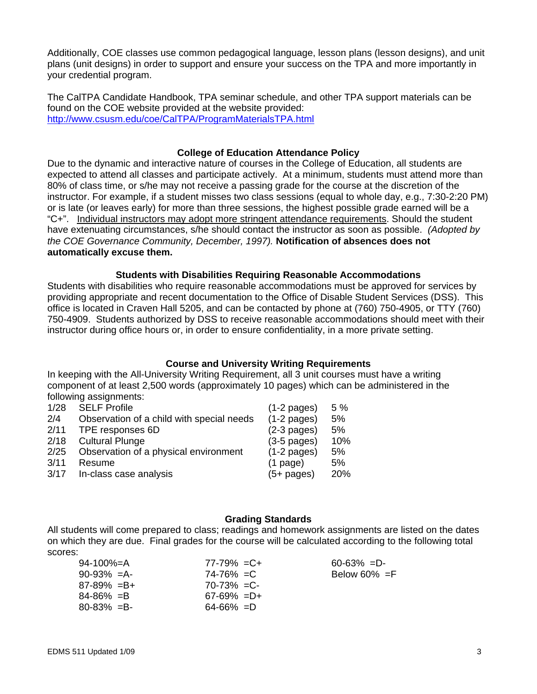Additionally, COE classes use common pedagogical language, lesson plans (lesson designs), and unit plans (unit designs) in order to support and ensure your success on the TPA and more importantly in your credential program.

 http://www.csusm.edu/coe/CalTPA/ProgramMaterialsTPA.html The CalTPA Candidate Handbook, TPA seminar schedule, and other TPA support materials can be found on the COE website provided at the website provided:

#### **College of Education Attendance Policy**

Due to the dynamic and interactive nature of courses in the College of Education, all students are expected to attend all classes and participate actively. At a minimum, students must attend more than 80% of class time, or s/he may not receive a passing grade for the course at the discretion of the instructor. For example, if a student misses two class sessions (equal to whole day, e.g., 7:30-2:20 PM) or is late (or leaves early) for more than three sessions, the highest possible grade earned will be a "C+". Individual instructors may adopt more stringent attendance requirements. Should the student have extenuating circumstances, s/he should contact the instructor as soon as possible. *(Adopted by the COE Governance Community, December, 1997).* **Notification of absences does not automatically excuse them.** 

#### **Students with Disabilities Requiring Reasonable Accommodations**

Students with disabilities who require reasonable accommodations must be approved for services by providing appropriate and recent documentation to the Office of Disable Student Services (DSS). This office is located in Craven Hall 5205, and can be contacted by phone at (760) 750-4905, or TTY (760) 750-4909. Students authorized by DSS to receive reasonable accommodations should meet with their instructor during office hours or, in order to ensure confidentiality, in a more private setting.

#### **Course and University Writing Requirements**

In keeping with the All-University Writing Requirement, all 3 unit courses must have a writing component of at least 2,500 words (approximately 10 pages) which can be administered in the following assignments:

| <b>SELF Profile</b>                       | $(1-2$ pages)         | 5 % |
|-------------------------------------------|-----------------------|-----|
| Observation of a child with special needs | $(1-2 \text{ pages})$ | 5%  |
|                                           | $(2-3$ pages)         | 5%  |
| <b>Cultural Plunge</b>                    | $(3-5$ pages)         | 10% |
| Observation of a physical environment     | $(1-2$ pages)         | 5%  |
| Resume                                    | $(1$ page)            | 5%  |
| In-class case analysis                    | $(5+$ pages)          | 20% |
|                                           | TPE responses 6D      |     |

#### **Grading Standards**

All students will come prepared to class; readings and homework assignments are listed on the dates on which they are due. Final grades for the course will be calculated according to the following total scores:

| 94-100%=A       | $77-79\% = C +$ |
|-----------------|-----------------|
| $90-93\% = A$   | $74-76\% = C$   |
| $87-89\% = B+$  | $70 - 73\% = C$ |
| $84 - 86\% = B$ | $67-69\% = D+$  |
| $80 - 83\% = B$ | $64 - 66\% = D$ |
|                 |                 |

 $60-63\% = D$ -Below 60%  $=F$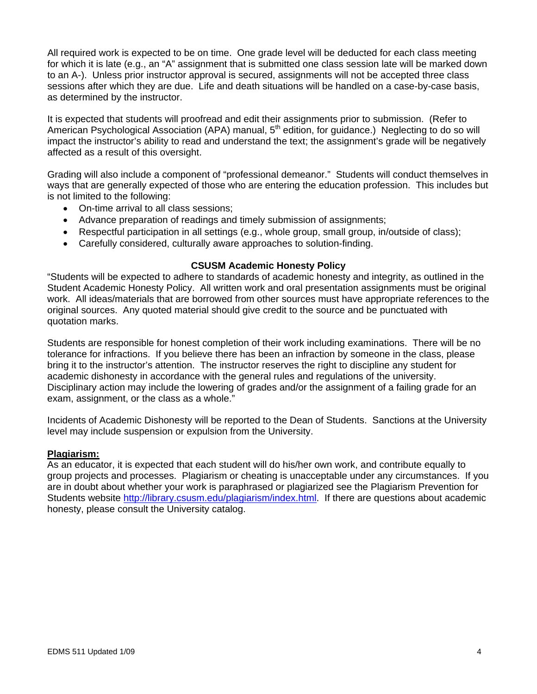All required work is expected to be on time. One grade level will be deducted for each class meeting for which it is late (e.g., an "A" assignment that is submitted one class session late will be marked down to an A-). Unless prior instructor approval is secured, assignments will not be accepted three class sessions after which they are due. Life and death situations will be handled on a case-by-case basis, as determined by the instructor.

It is expected that students will proofread and edit their assignments prior to submission. (Refer to American Psychological Association (APA) manual,  $5<sup>th</sup>$  edition, for guidance.) Neglecting to do so will impact the instructor's ability to read and understand the text; the assignment's grade will be negatively affected as a result of this oversight.

Grading will also include a component of "professional demeanor." Students will conduct themselves in ways that are generally expected of those who are entering the education profession. This includes but is not limited to the following:

- On-time arrival to all class sessions;
- Advance preparation of readings and timely submission of assignments;
- Respectful participation in all settings (e.g., whole group, small group, in/outside of class);
- Carefully considered, culturally aware approaches to solution-finding.

#### **CSUSM Academic Honesty Policy**

"Students will be expected to adhere to standards of academic honesty and integrity, as outlined in the Student Academic Honesty Policy. All written work and oral presentation assignments must be original work. All ideas/materials that are borrowed from other sources must have appropriate references to the original sources. Any quoted material should give credit to the source and be punctuated with quotation marks.

Students are responsible for honest completion of their work including examinations. There will be no tolerance for infractions. If you believe there has been an infraction by someone in the class, please bring it to the instructor's attention. The instructor reserves the right to discipline any student for academic dishonesty in accordance with the general rules and regulations of the university. Disciplinary action may include the lowering of grades and/or the assignment of a failing grade for an exam, assignment, or the class as a whole."

Incidents of Academic Dishonesty will be reported to the Dean of Students. Sanctions at the University level may include suspension or expulsion from the University.

#### **Plagiarism:**

As an educator, it is expected that each student will do his/her own work, and contribute equally to group projects and processes. Plagiarism or cheating is unacceptable under any circumstances. If you are in doubt about whether your work is paraphrased or plagiarized see the Plagiarism Prevention for Students website http://library.csusm.edu/plagiarism/index.html. If there are questions about academic honesty, please consult the University catalog.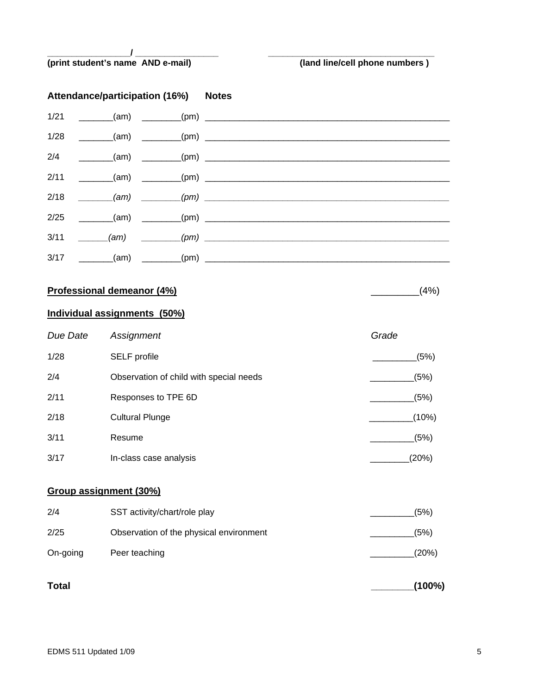#### **\_\_\_\_\_\_\_\_\_\_\_\_\_\_\_\_\_/ \_\_\_\_\_\_\_\_\_\_\_\_\_\_\_\_\_ \_\_\_\_\_\_\_\_\_\_\_\_\_\_\_\_\_\_\_\_\_\_\_\_\_\_\_\_\_\_\_\_\_\_ (print student's name AND e-mail) (land line/cell phone numbers )**

# **Attendance/participation (16%) Notes**  1/21 \_\_\_\_\_\_\_(am) \_\_\_\_\_\_\_\_(pm) \_\_\_\_\_\_\_\_\_\_\_\_\_\_\_\_\_\_\_\_\_\_\_\_\_\_\_\_\_\_\_\_\_\_\_\_\_\_\_\_\_\_\_\_\_\_\_\_\_\_ 1/28 \_\_\_\_\_\_\_(am) \_\_\_\_\_\_\_\_(pm) \_\_\_\_\_\_\_\_\_\_\_\_\_\_\_\_\_\_\_\_\_\_\_\_\_\_\_\_\_\_\_\_\_\_\_\_\_\_\_\_\_\_\_\_\_\_\_\_\_\_ 2/4 \_\_\_\_\_\_\_(am) \_\_\_\_\_\_\_\_(pm) \_\_\_\_\_\_\_\_\_\_\_\_\_\_\_\_\_\_\_\_\_\_\_\_\_\_\_\_\_\_\_\_\_\_\_\_\_\_\_\_\_\_\_\_\_\_\_\_\_\_ 2/11 \_\_\_\_\_\_\_(am) \_\_\_\_\_\_\_\_(pm) \_\_\_\_\_\_\_\_\_\_\_\_\_\_\_\_\_\_\_\_\_\_\_\_\_\_\_\_\_\_\_\_\_\_\_\_\_\_\_\_\_\_\_\_\_\_\_\_\_\_ 2/18 *\_\_\_\_\_\_\_(am) \_\_\_\_\_\_\_\_(pm) \_\_\_\_\_\_\_\_\_\_\_\_\_\_\_\_\_\_\_\_\_\_\_\_\_\_\_\_\_\_\_\_\_\_\_\_\_\_\_\_\_\_\_\_\_\_\_\_\_\_*  2/25 \_\_\_\_\_\_\_(am) \_\_\_\_\_\_\_\_(pm) \_\_\_\_\_\_\_\_\_\_\_\_\_\_\_\_\_\_\_\_\_\_\_\_\_\_\_\_\_\_\_\_\_\_\_\_\_\_\_\_\_\_\_\_\_\_\_\_\_\_

3/11 *\_\_\_\_\_\_(am) \_\_\_\_\_\_\_\_(pm) \_\_\_\_\_\_\_\_\_\_\_\_\_\_\_\_\_\_\_\_\_\_\_\_\_\_\_\_\_\_\_\_\_\_\_\_\_\_\_\_\_\_\_\_\_\_\_\_\_\_*  3/17 \_\_\_\_\_\_\_(am) \_\_\_\_\_\_\_\_(pm) \_\_\_\_\_\_\_\_\_\_\_\_\_\_\_\_\_\_\_\_\_\_\_\_\_\_\_\_\_\_\_\_\_\_\_\_\_\_\_\_\_\_\_\_\_\_\_\_\_\_

## **Professional demeanor (4%)** \_\_\_\_\_\_\_\_\_(4%)

## **Individual assignments (50%)**

| Due Date | Assignment                              | Grade |
|----------|-----------------------------------------|-------|
| 1/28     | SELF profile                            | (5%)  |
| 2/4      | Observation of child with special needs | (5%)  |
| 2/11     | Responses to TPE 6D                     | (5%)  |
| 2/18     | <b>Cultural Plunge</b>                  | (10%) |
| 3/11     | Resume                                  | (5%)  |
| 3/17     | In-class case analysis                  | (20%) |

#### **Group assignment (30%)**

| <b>Total</b> |                                         | (100%) |
|--------------|-----------------------------------------|--------|
| On-going     | Peer teaching                           | (20%)  |
| 2/25         | Observation of the physical environment | (5%)   |
| 2/4          | SST activity/chart/role play            | (5%)   |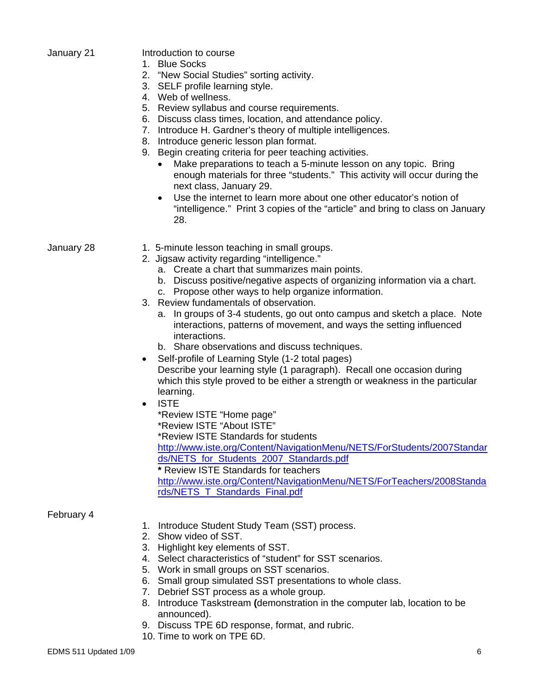|  | January 21 |  |
|--|------------|--|
|--|------------|--|

#### Introduction to course

- 1. Blue Socks
- 2. "New Social Studies" sorting activity.
- 3. SELF profile learning style.
- 4. Web of wellness.
- 5. Review syllabus and course requirements.
- 6. Discuss class times, location, and attendance policy.
- 7. Introduce H. Gardner's theory of multiple intelligences.
- 8. Introduce generic lesson plan format.
- 9. Begin creating criteria for peer teaching activities.
	- Make preparations to teach a 5-minute lesson on any topic. Bring enough materials for three "students." This activity will occur during the next class, January 29.
	- Use the internet to learn more about one other educator's notion of "intelligence." Print 3 copies of the "article" and bring to class on January 28.

- January 28 1. 5-minute lesson teaching in small groups.
	- 2. Jigsaw activity regarding "intelligence."
		- a. Create a chart that summarizes main points.
		- b. Discuss positive/negative aspects of organizing information via a chart.
		- c. Propose other ways to help organize information.
	- 3. Review fundamentals of observation.
		- a. In groups of 3-4 students, go out onto campus and sketch a place. Note interactions, patterns of movement, and ways the setting influenced interactions.
		- b. Share observations and discuss techniques.
	- Self-profile of Learning Style (1-2 total pages) Describe your learning style (1 paragraph). Recall one occasion during which this style proved to be either a strength or weakness in the particular learning.
	- ISTE
		- \*Review ISTE "Home page"
		- \*Review ISTE "About ISTE"
		- \*Review ISTE Standards for students

http://www.iste.org/Content/NavigationMenu/NETS/ForStudents/2007Standar ds/NETS\_for\_Students\_2007\_Standards.pdf

**\*** Review ISTE Standards for teachers

http://www.iste.org/Content/NavigationMenu/NETS/ForTeachers/2008Standa rds/NETS\_T\_Standards\_Final.pdf

February 4

- 1. Introduce Student Study Team (SST) process.
- 2. Show video of SST.
- 3. Highlight key elements of SST.
- 4. Select characteristics of "student" for SST scenarios.
- 5. Work in small groups on SST scenarios.
- 6. Small group simulated SST presentations to whole class.
- 7. Debrief SST process as a whole group.
- 8. Introduce Taskstream **(**demonstration in the computer lab, location to be announced).
- 9. Discuss TPE 6D response, format, and rubric.
- 10. Time to work on TPE 6D.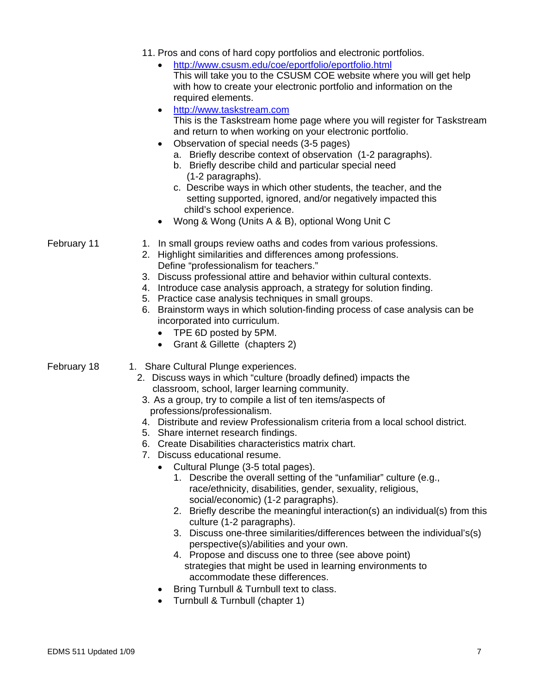|             | 11. Pros and cons of hard copy portfolios and electronic portfolios.<br>http://www.csusm.edu/coe/eportfolio/eportfolio.html<br>This will take you to the CSUSM COE website where you will get help<br>with how to create your electronic portfolio and information on the<br>required elements.<br>http://www.taskstream.com<br>This is the Taskstream home page where you will register for Taskstream<br>and return to when working on your electronic portfolio.<br>Observation of special needs (3-5 pages)<br>a. Briefly describe context of observation (1-2 paragraphs).<br>b. Briefly describe child and particular special need<br>(1-2 paragraphs).<br>c. Describe ways in which other students, the teacher, and the<br>setting supported, ignored, and/or negatively impacted this<br>child's school experience.<br>Wong & Wong (Units A & B), optional Wong Unit C                                                                                                                                                                                                                                                               |
|-------------|-----------------------------------------------------------------------------------------------------------------------------------------------------------------------------------------------------------------------------------------------------------------------------------------------------------------------------------------------------------------------------------------------------------------------------------------------------------------------------------------------------------------------------------------------------------------------------------------------------------------------------------------------------------------------------------------------------------------------------------------------------------------------------------------------------------------------------------------------------------------------------------------------------------------------------------------------------------------------------------------------------------------------------------------------------------------------------------------------------------------------------------------------|
| February 11 | 1. In small groups review oaths and codes from various professions.<br>2. Highlight similarities and differences among professions.<br>Define "professionalism for teachers."<br>3. Discuss professional attire and behavior within cultural contexts.<br>4. Introduce case analysis approach, a strategy for solution finding.<br>5. Practice case analysis techniques in small groups.<br>6. Brainstorm ways in which solution-finding process of case analysis can be<br>incorporated into curriculum.<br>TPE 6D posted by 5PM.<br>Grant & Gillette (chapters 2)                                                                                                                                                                                                                                                                                                                                                                                                                                                                                                                                                                           |
| February 18 | 1. Share Cultural Plunge experiences.<br>2. Discuss ways in which "culture (broadly defined) impacts the<br>classroom, school, larger learning community.<br>3. As a group, try to compile a list of ten items/aspects of<br>professions/professionalism.<br>4. Distribute and review Professionalism criteria from a local school district.<br>5. Share internet research findings.<br>Create Disabilities characteristics matrix chart.<br>6.<br>7. Discuss educational resume.<br>Cultural Plunge (3-5 total pages).<br>Describe the overall setting of the "unfamiliar" culture (e.g.,<br>1.<br>race/ethnicity, disabilities, gender, sexuality, religious,<br>social/economic) (1-2 paragraphs).<br>2. Briefly describe the meaningful interaction(s) an individual(s) from this<br>culture (1-2 paragraphs).<br>3. Discuss one-three similarities/differences between the individual's(s)<br>perspective(s)/abilities and your own.<br>4. Propose and discuss one to three (see above point)<br>strategies that might be used in learning environments to<br>accommodate these differences.<br>Bring Turnbull & Turnbull text to class. |

• Turnbull & Turnbull (chapter 1)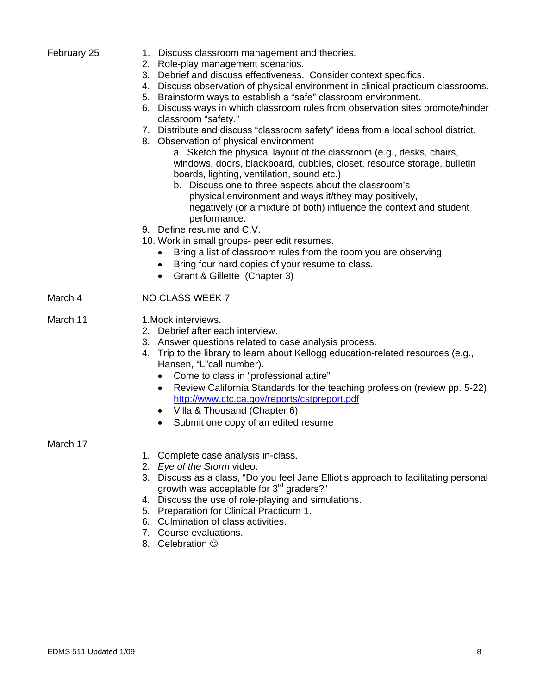| February 25 |  |
|-------------|--|
|-------------|--|

- 1. Discuss classroom management and theories.
- 2. Role-play management scenarios.
- 3. Debrief and discuss effectiveness. Consider context specifics.
- 4. Discuss observation of physical environment in clinical practicum classrooms.
- 5. Brainstorm ways to establish a "safe" classroom environment.
- 6. Discuss ways in which classroom rules from observation sites promote/hinder classroom "safety."
- 7. Distribute and discuss "classroom safety" ideas from a local school district.
- 8. Observation of physical environment

- b. Discuss one to three aspects about the classroom's physical environment and ways it/they may positively, negatively (or a mixture of both) influence the context and student performance.
- 9. Define resume and C.V.
- 10. Work in small groups- peer edit resumes.
	- Bring a list of classroom rules from the room you are observing.
	- Bring four hard copies of your resume to class.
	- Grant & Gillette (Chapter 3)
- March 4 NO CLASS WEEK 7
- March 11 1.Mock interviews.
	- 2. Debrief after each interview.
	- 3. Answer questions related to case analysis process.
	- 4. Trip to the library to learn about Kellogg education-related resources (e.g., Hansen, "L"call number).
		- • Come to class in "professional attire"
		- Review California Standards for the teaching profession (review pp. 5-22) http://www.ctc.ca.gov/reports/cstpreport.pdf
		- Villa & Thousand (Chapter 6)
		- Submit one copy of an edited resume

#### March 17

- 1. Complete case analysis in-class.
- 2. *Eye of the Storm* video.
- 3. Discuss as a class, "Do you feel Jane Elliot's approach to facilitating personal growth was acceptable for 3<sup>rd</sup> graders?"
- 4. Discuss the use of role-playing and simulations.
- 5. Preparation for Clinical Practicum 1.
- 6. Culmination of class activities.
- 7. Course evaluations.
- 8. Celebration  $\odot$

a. Sketch the physical layout of the classroom (e.g., desks, chairs, windows, doors, blackboard, cubbies, closet, resource storage, bulletin boards, lighting, ventilation, sound etc.)